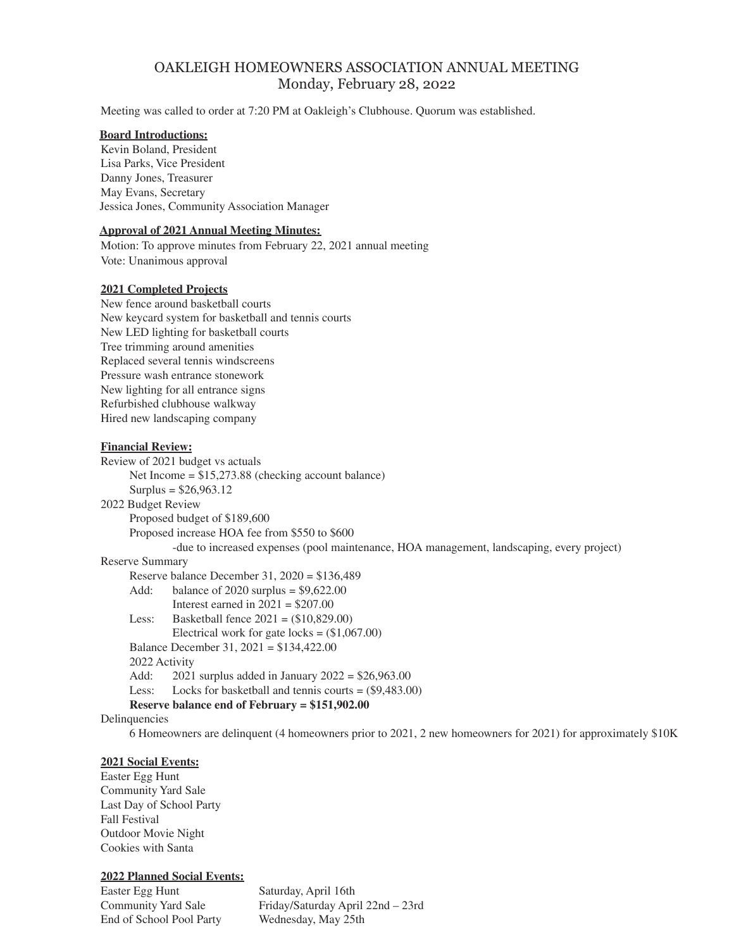# OAKLEIGH HOMEOWNERS ASSOCIATION ANNUAL MEETING Monday, February 28, 2022

Meeting was called to order at 7:20 PM at Oakleigh's Clubhouse. Quorum was established.

#### **Board Introductions:**

Kevin Boland, President Lisa Parks, Vice President Danny Jones, Treasurer May Evans, Secretary Jessica Jones, Community Association Manager

### **Approval of 2021 Annual Meeting Minutes:**

Motion: To approve minutes from February 22, 2021 annual meeting Vote: Unanimous approval

### **2021 Completed Projects**

New fence around basketball courts New keycard system for basketball and tennis courts New LED lighting for basketball courts Tree trimming around amenities Replaced several tennis windscreens Pressure wash entrance stonework New lighting for all entrance signs Refurbished clubhouse walkway Hired new landscaping company

#### **Financial Review:**

Review of 2021 budget vs actuals Net Income = \$15,273.88 (checking account balance) Surplus =  $$26,963.12$ 2022 Budget Review Proposed budget of \$189,600 Proposed increase HOA fee from \$550 to \$600 -due to increased expenses (pool maintenance, HOA management, landscaping, every project) Reserve Summary Reserve balance December 31, 2020 = \$136,489 Add: balance of 2020 surplus = \$9,622.00 Interest earned in  $2021 = $207.00$ Less: Basketball fence 2021 = (\$10,829.00) Electrical work for gate locks =  $(\$1,067.00)$ Balance December 31, 2021 = \$134,422.00 2022 Activity Add: 2021 surplus added in January 2022 = \$26,963.00 Less: Locks for basketball and tennis courts = (\$9,483.00) **Reserve balance end of February = \$151,902.00** Delinquencies 6 Homeowners are delinquent (4 homeowners prior to 2021, 2 new homeowners for 2021) for approximately \$10K

#### **2021 Social Events:**

Easter Egg Hunt Community Yard Sale Last Day of School Party Fall Festival Outdoor Movie Night Cookies with Santa

## **2022 Planned Social Events:**

Easter Egg Hunt Saturday, April 16th End of School Pool Party Wednesday, May 25th

Community Yard Sale Friday/Saturday April 22nd – 23rd